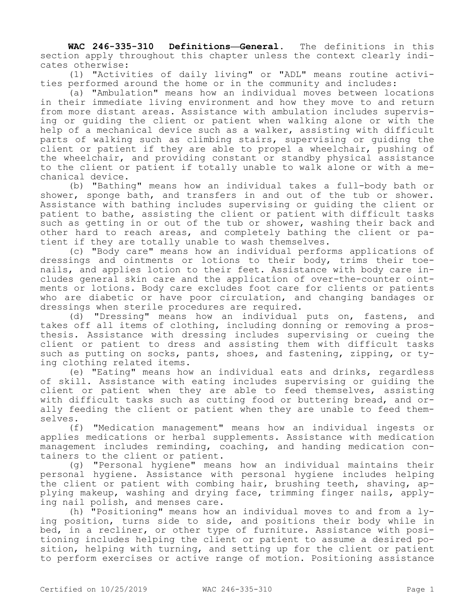**WAC 246-335-310 Definitions—General.** The definitions in this section apply throughout this chapter unless the context clearly indicates otherwise:

(1) "Activities of daily living" or "ADL" means routine activities performed around the home or in the community and includes:

(a) "Ambulation" means how an individual moves between locations in their immediate living environment and how they move to and return from more distant areas. Assistance with ambulation includes supervising or guiding the client or patient when walking alone or with the help of a mechanical device such as a walker, assisting with difficult parts of walking such as climbing stairs, supervising or guiding the client or patient if they are able to propel a wheelchair, pushing of the wheelchair, and providing constant or standby physical assistance to the client or patient if totally unable to walk alone or with a mechanical device.

(b) "Bathing" means how an individual takes a full-body bath or shower, sponge bath, and transfers in and out of the tub or shower. Assistance with bathing includes supervising or guiding the client or patient to bathe, assisting the client or patient with difficult tasks such as getting in or out of the tub or shower, washing their back and other hard to reach areas, and completely bathing the client or patient if they are totally unable to wash themselves.

(c) "Body care" means how an individual performs applications of dressings and ointments or lotions to their body, trims their toenails, and applies lotion to their feet. Assistance with body care includes general skin care and the application of over-the-counter ointments or lotions. Body care excludes foot care for clients or patients who are diabetic or have poor circulation, and changing bandages or dressings when sterile procedures are required.

(d) "Dressing" means how an individual puts on, fastens, and takes off all items of clothing, including donning or removing a prosthesis. Assistance with dressing includes supervising or cueing the client or patient to dress and assisting them with difficult tasks such as putting on socks, pants, shoes, and fastening, zipping, or tying clothing related items.

(e) "Eating" means how an individual eats and drinks, regardless of skill. Assistance with eating includes supervising or guiding the client or patient when they are able to feed themselves, assisting with difficult tasks such as cutting food or buttering bread, and orally feeding the client or patient when they are unable to feed themselves.

(f) "Medication management" means how an individual ingests or applies medications or herbal supplements. Assistance with medication management includes reminding, coaching, and handing medication containers to the client or patient.

(g) "Personal hygiene" means how an individual maintains their personal hygiene. Assistance with personal hygiene includes helping the client or patient with combing hair, brushing teeth, shaving, applying makeup, washing and drying face, trimming finger nails, applying nail polish, and menses care.

(h) "Positioning" means how an individual moves to and from a lying position, turns side to side, and positions their body while in bed, in a recliner, or other type of furniture. Assistance with positioning includes helping the client or patient to assume a desired position, helping with turning, and setting up for the client or patient to perform exercises or active range of motion. Positioning assistance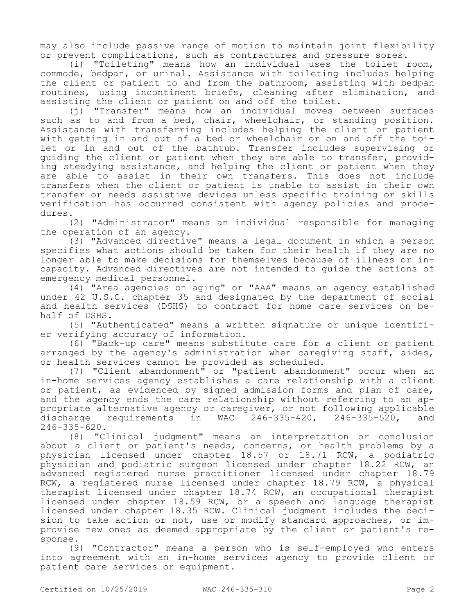may also include passive range of motion to maintain joint flexibility or prevent complications, such as contractures and pressure sores.

(i) "Toileting" means how an individual uses the toilet room, commode, bedpan, or urinal. Assistance with toileting includes helping the client or patient to and from the bathroom, assisting with bedpan routines, using incontinent briefs, cleaning after elimination, and assisting the client or patient on and off the toilet.

(j) "Transfer" means how an individual moves between surfaces such as to and from a bed, chair, wheelchair, or standing position. Assistance with transferring includes helping the client or patient with getting in and out of a bed or wheelchair or on and off the toilet or in and out of the bathtub. Transfer includes supervising or guiding the client or patient when they are able to transfer, providing steadying assistance, and helping the client or patient when they are able to assist in their own transfers. This does not include transfers when the client or patient is unable to assist in their own transfer or needs assistive devices unless specific training or skills verification has occurred consistent with agency policies and procedures.

(2) "Administrator" means an individual responsible for managing the operation of an agency.

(3) "Advanced directive" means a legal document in which a person specifies what actions should be taken for their health if they are no longer able to make decisions for themselves because of illness or incapacity. Advanced directives are not intended to guide the actions of emergency medical personnel.

(4) "Area agencies on aging" or "AAA" means an agency established under 42 U.S.C. chapter 35 and designated by the department of social and health services (DSHS) to contract for home care services on behalf of DSHS.

(5) "Authenticated" means a written signature or unique identifier verifying accuracy of information.

(6) "Back-up care" means substitute care for a client or patient arranged by the agency's administration when caregiving staff, aides, or health services cannot be provided as scheduled.

(7) "Client abandonment" or "patient abandonment" occur when an in-home services agency establishes a care relationship with a client or patient, as evidenced by signed admission forms and plan of care, and the agency ends the care relationship without referring to an appropriate alternative agency or caregiver, or not following applicable<br>discharge requirements in WAC 246-335-420, 246-335-520, and discharge requirements in WAC 246-335-420, 246-335-520, and  $246 - 335 - 620$ .

(8) "Clinical judgment" means an interpretation or conclusion about a client or patient's needs, concerns, or health problems by a physician licensed under chapter 18.57 or 18.71 RCW, a podiatric physician and podiatric surgeon licensed under chapter 18.22 RCW, an advanced registered nurse practitioner licensed under chapter 18.79 RCW, a registered nurse licensed under chapter 18.79 RCW, a physical therapist licensed under chapter 18.74 RCW, an occupational therapist licensed under chapter 18.59 RCW, or a speech and language therapist licensed under chapter 18.35 RCW. Clinical judgment includes the decision to take action or not, use or modify standard approaches, or improvise new ones as deemed appropriate by the client or patient's response.

(9) "Contractor" means a person who is self-employed who enters into agreement with an in-home services agency to provide client or patient care services or equipment.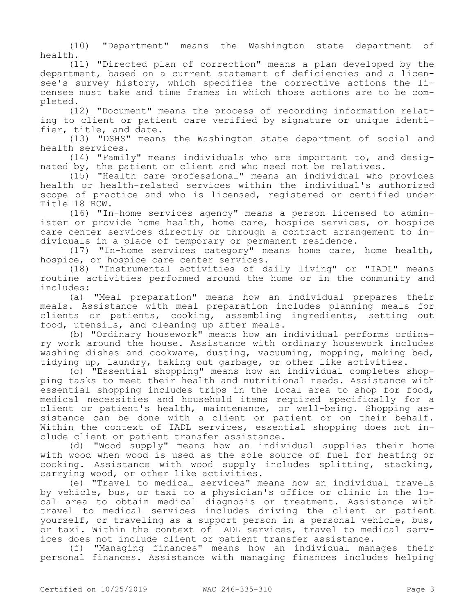(10) "Department" means the Washington state department of health.

(11) "Directed plan of correction" means a plan developed by the department, based on a current statement of deficiencies and a licensee's survey history, which specifies the corrective actions the licensee must take and time frames in which those actions are to be completed.

(12) "Document" means the process of recording information relating to client or patient care verified by signature or unique identifier, title, and date.

(13) "DSHS" means the Washington state department of social and health services.

(14) "Family" means individuals who are important to, and designated by, the patient or client and who need not be relatives.

(15) "Health care professional" means an individual who provides health or health-related services within the individual's authorized scope of practice and who is licensed, registered or certified under Title 18 RCW.

(16) "In-home services agency" means a person licensed to administer or provide home health, home care, hospice services, or hospice care center services directly or through a contract arrangement to individuals in a place of temporary or permanent residence.

(17) "In-home services category" means home care, home health, hospice, or hospice care center services.

(18) "Instrumental activities of daily living" or "IADL" means routine activities performed around the home or in the community and includes:

(a) "Meal preparation" means how an individual prepares their meals. Assistance with meal preparation includes planning meals for clients or patients, cooking, assembling ingredients, setting out food, utensils, and cleaning up after meals.

(b) "Ordinary housework" means how an individual performs ordinary work around the house. Assistance with ordinary housework includes washing dishes and cookware, dusting, vacuuming, mopping, making bed, tidying up, laundry, taking out garbage, or other like activities.

(c) "Essential shopping" means how an individual completes shopping tasks to meet their health and nutritional needs. Assistance with essential shopping includes trips in the local area to shop for food, medical necessities and household items required specifically for a client or patient's health, maintenance, or well-being. Shopping assistance can be done with a client or patient or on their behalf. Within the context of IADL services, essential shopping does not include client or patient transfer assistance.

(d) "Wood supply" means how an individual supplies their home with wood when wood is used as the sole source of fuel for heating or cooking. Assistance with wood supply includes splitting, stacking, carrying wood, or other like activities.

(e) "Travel to medical services" means how an individual travels by vehicle, bus, or taxi to a physician's office or clinic in the local area to obtain medical diagnosis or treatment. Assistance with travel to medical services includes driving the client or patient yourself, or traveling as a support person in a personal vehicle, bus, or taxi. Within the context of IADL services, travel to medical services does not include client or patient transfer assistance.

(f) "Managing finances" means how an individual manages their personal finances. Assistance with managing finances includes helping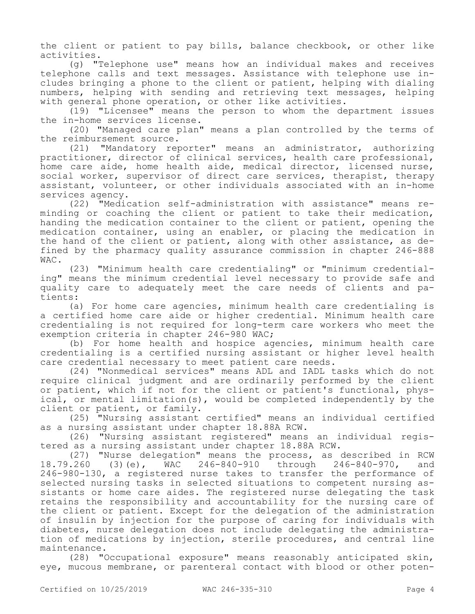the client or patient to pay bills, balance checkbook, or other like activities.

(g) "Telephone use" means how an individual makes and receives telephone calls and text messages. Assistance with telephone use includes bringing a phone to the client or patient, helping with dialing numbers, helping with sending and retrieving text messages, helping with general phone operation, or other like activities.

(19) "Licensee" means the person to whom the department issues the in-home services license.

(20) "Managed care plan" means a plan controlled by the terms of the reimbursement source.

(21) "Mandatory reporter" means an administrator, authorizing practitioner, director of clinical services, health care professional, home care aide, home health aide, medical director, licensed nurse, social worker, supervisor of direct care services, therapist, therapy assistant, volunteer, or other individuals associated with an in-home services agency.

(22) "Medication self-administration with assistance" means reminding or coaching the client or patient to take their medication, handing the medication container to the client or patient, opening the medication container, using an enabler, or placing the medication in the hand of the client or patient, along with other assistance, as defined by the pharmacy quality assurance commission in chapter 246-888 WAC.

(23) "Minimum health care credentialing" or "minimum credentialing" means the minimum credential level necessary to provide safe and quality care to adequately meet the care needs of clients and patients:

(a) For home care agencies, minimum health care credentialing is a certified home care aide or higher credential. Minimum health care credentialing is not required for long-term care workers who meet the exemption criteria in chapter 246-980 WAC;

(b) For home health and hospice agencies, minimum health care credentialing is a certified nursing assistant or higher level health care credential necessary to meet patient care needs.

(24) "Nonmedical services" means ADL and IADL tasks which do not require clinical judgment and are ordinarily performed by the client or patient, which if not for the client or patient's functional, physical, or mental limitation(s), would be completed independently by the client or patient, or family.

(25) "Nursing assistant certified" means an individual certified as a nursing assistant under chapter 18.88A RCW.

(26) "Nursing assistant registered" means an individual registered as a nursing assistant under chapter 18.88A RCW.

(27) "Nurse delegation" means the process, as described in RCW<br>.260 (3)(e), WAC 246-840-910 through 246-840-970, and 18.79.260 (3)(e), WAC 246-840-910 through 246-840-970, and 246-980-130, a registered nurse takes to transfer the performance of selected nursing tasks in selected situations to competent nursing assistants or home care aides. The registered nurse delegating the task retains the responsibility and accountability for the nursing care of the client or patient. Except for the delegation of the administration of insulin by injection for the purpose of caring for individuals with diabetes, nurse delegation does not include delegating the administration of medications by injection, sterile procedures, and central line maintenance.

(28) "Occupational exposure" means reasonably anticipated skin, eye, mucous membrane, or parenteral contact with blood or other poten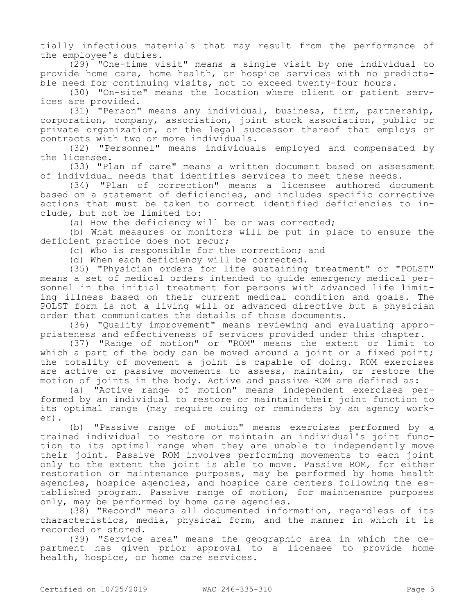tially infectious materials that may result from the performance of the employee's duties.

(29) "One-time visit" means a single visit by one individual to provide home care, home health, or hospice services with no predictable need for continuing visits, not to exceed twenty-four hours.

(30) "On-site" means the location where client or patient services are provided.

(31) "Person" means any individual, business, firm, partnership, corporation, company, association, joint stock association, public or private organization, or the legal successor thereof that employs or contracts with two or more individuals.

(32) "Personnel" means individuals employed and compensated by the licensee.

(33) "Plan of care" means a written document based on assessment of individual needs that identifies services to meet these needs.

(34) "Plan of correction" means a licensee authored document based on a statement of deficiencies, and includes specific corrective actions that must be taken to correct identified deficiencies to include, but not be limited to:

(a) How the deficiency will be or was corrected;

(b) What measures or monitors will be put in place to ensure the deficient practice does not recur;

(c) Who is responsible for the correction; and

(d) When each deficiency will be corrected.

(35) "Physician orders for life sustaining treatment" or "POLST" means a set of medical orders intended to guide emergency medical personnel in the initial treatment for persons with advanced life limiting illness based on their current medical condition and goals. The POLST form is not a living will or advanced directive but a physician order that communicates the details of those documents.

(36) "Quality improvement" means reviewing and evaluating appropriateness and effectiveness of services provided under this chapter.

(37) "Range of motion" or "ROM" means the extent or limit to which a part of the body can be moved around a joint or a fixed point; the totality of movement a joint is capable of doing. ROM exercises are active or passive movements to assess, maintain, or restore the motion of joints in the body. Active and passive ROM are defined as:

(a) "Active range of motion" means independent exercises performed by an individual to restore or maintain their joint function to its optimal range (may require cuing or reminders by an agency worker).

(b) "Passive range of motion" means exercises performed by a trained individual to restore or maintain an individual's joint function to its optimal range when they are unable to independently move their joint. Passive ROM involves performing movements to each joint only to the extent the joint is able to move. Passive ROM, for either restoration or maintenance purposes, may be performed by home health agencies, hospice agencies, and hospice care centers following the established program. Passive range of motion, for maintenance purposes only, may be performed by home care agencies.

(38) "Record" means all documented information, regardless of its characteristics, media, physical form, and the manner in which it is recorded or stored.

(39) "Service area" means the geographic area in which the department has given prior approval to a licensee to provide home health, hospice, or home care services.